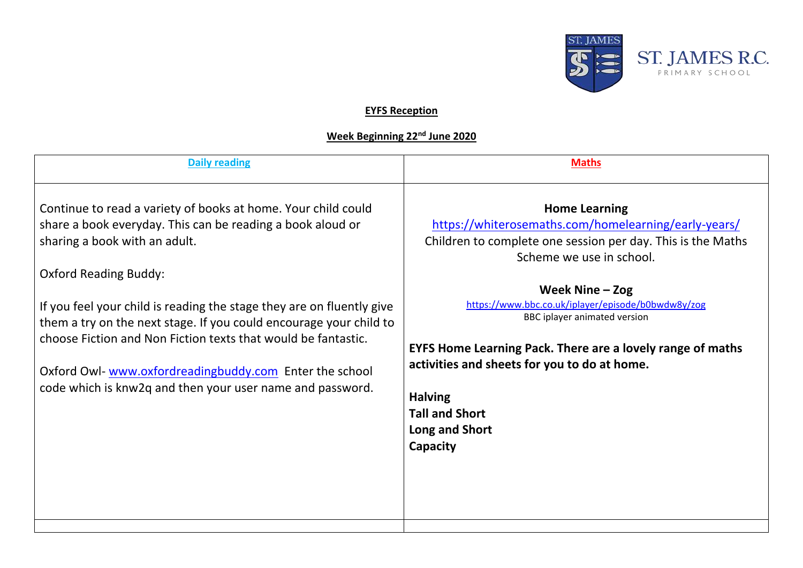

## **EYFS Reception**

## **Week Beginning 22nd June 2020**

| <b>Daily reading</b>                                                                                                                                                                                                                                                                                                                                                                                                                                                                                                                | <b>Maths</b>                                                                                                                                                                                                                                                                                                                                                                                                                                                                     |
|-------------------------------------------------------------------------------------------------------------------------------------------------------------------------------------------------------------------------------------------------------------------------------------------------------------------------------------------------------------------------------------------------------------------------------------------------------------------------------------------------------------------------------------|----------------------------------------------------------------------------------------------------------------------------------------------------------------------------------------------------------------------------------------------------------------------------------------------------------------------------------------------------------------------------------------------------------------------------------------------------------------------------------|
| Continue to read a variety of books at home. Your child could<br>share a book everyday. This can be reading a book aloud or<br>sharing a book with an adult.<br><b>Oxford Reading Buddy:</b><br>If you feel your child is reading the stage they are on fluently give<br>them a try on the next stage. If you could encourage your child to<br>choose Fiction and Non Fiction texts that would be fantastic.<br>Oxford Owl-www.oxfordreadingbuddy.com Enter the school<br>code which is knw2q and then your user name and password. | <b>Home Learning</b><br>https://whiterosemaths.com/homelearning/early-years/<br>Children to complete one session per day. This is the Maths<br>Scheme we use in school.<br>Week Nine $-$ Zog<br>https://www.bbc.co.uk/iplayer/episode/b0bwdw8y/zog<br>BBC iplayer animated version<br><b>EYFS Home Learning Pack. There are a lovely range of maths</b><br>activities and sheets for you to do at home.<br><b>Halving</b><br><b>Tall and Short</b><br>Long and Short<br>Capacity |
|                                                                                                                                                                                                                                                                                                                                                                                                                                                                                                                                     |                                                                                                                                                                                                                                                                                                                                                                                                                                                                                  |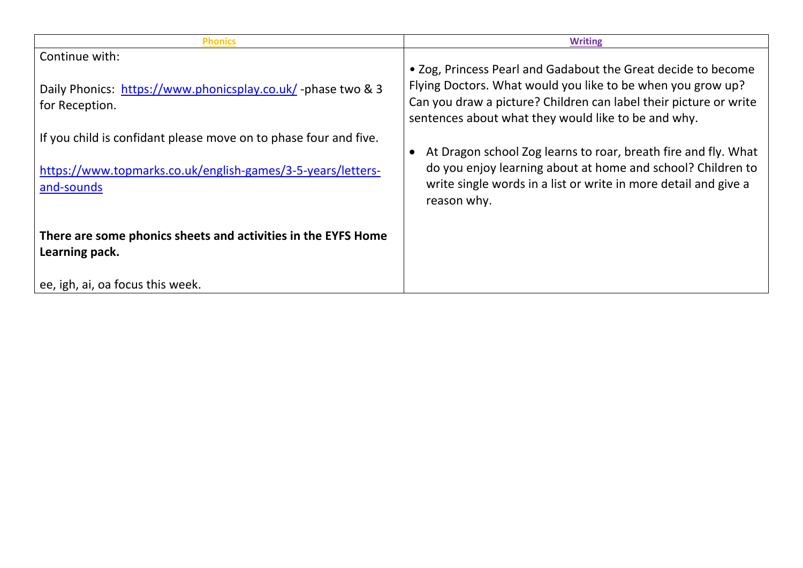| <b>Phonics</b>                                                                  | <b>Writing</b>                                                                                                                                |
|---------------------------------------------------------------------------------|-----------------------------------------------------------------------------------------------------------------------------------------------|
| Continue with:                                                                  | • Zog, Princess Pearl and Gadabout the Great decide to become<br>Flying Doctors. What would you like to be when you grow up?                  |
| Daily Phonics: https://www.phonicsplay.co.uk/ -phase two & 3<br>for Reception.  | Can you draw a picture? Children can label their picture or write<br>sentences about what they would like to be and why.                      |
| If you child is confidant please move on to phase four and five.                | At Dragon school Zog learns to roar, breath fire and fly. What                                                                                |
| https://www.topmarks.co.uk/english-games/3-5-years/letters-<br>and-sounds       | do you enjoy learning about at home and school? Children to<br>write single words in a list or write in more detail and give a<br>reason why. |
| There are some phonics sheets and activities in the EYFS Home<br>Learning pack. |                                                                                                                                               |
| ee, igh, ai, oa focus this week.                                                |                                                                                                                                               |